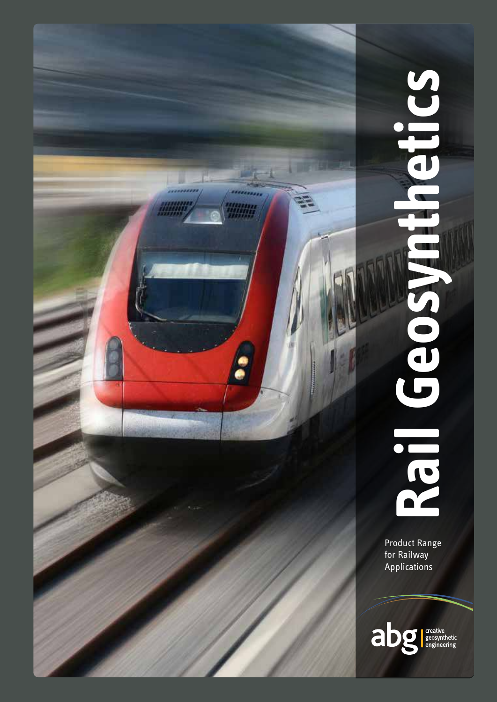

# etics **Rail Geosynthetics ASOSDE** ICS

Product Range for Railway Applications

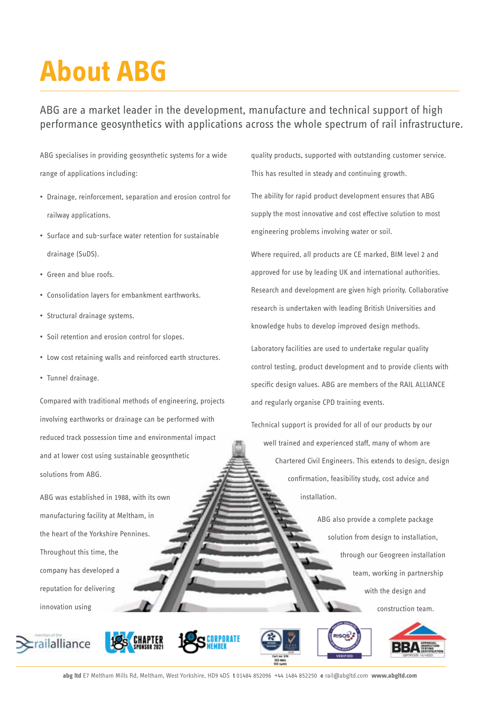# **About ABG**

### ABG are a market leader in the development, manufacture and technical support of high performance geosynthetics with applications across the whole spectrum of rail infrastructure.

ABG specialises in providing geosynthetic systems for a wide range of applications including:

- Drainage, reinforcement, separation and erosion control for railway applications.
- Surface and sub-surface water retention for sustainable drainage (SuDS).
- Green and blue roofs.
- Consolidation layers for embankment earthworks.
- Structural drainage systems.
- Soil retention and erosion control for slopes.
- Low cost retaining walls and reinforced earth structures.
- Tunnel drainage.

Compared with traditional methods of engineering, projects involving earthworks or drainage can be performed with reduced track possession time and environmental impact and at lower cost using sustainable geosynthetic solutions from ABG.

ABG was established in 1988, with its own manufacturing facility at Meltham, in the heart of the Yorkshire Pennines. Throughout this time, the company has developed a reputation for delivering innovation using













quality products, supported with outstanding customer service. This has resulted in steady and continuing growth.

The ability for rapid product development ensures that ABG supply the most innovative and cost effective solution to most engineering problems involving water or soil.

Where required, all products are CE marked, BIM level 2 and approved for use by leading UK and international authorities. Research and development are given high priority. Collaborative research is undertaken with leading British Universities and knowledge hubs to develop improved design methods.

Laboratory facilities are used to undertake regular quality control testing, product development and to provide clients with specific design values. ABG are members of the RAIL ALLIANCE and regularly organise CPD training events.

Technical support is provided for all of our products by our well trained and experienced staff, many of whom are Chartered Civil Engineers. This extends to design, design confirmation, feasibility study, cost advice and installation.

> ABG also provide a complete package solution from design to installation, through our Geogreen installation team, working in partnership with the design and construction team.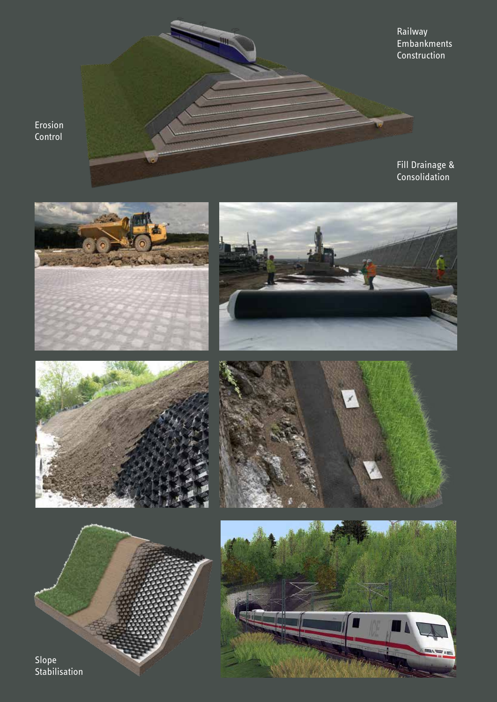Erosion Control

Railway Embankments Construction

Fill Drainage & Consolidation













Stabilisation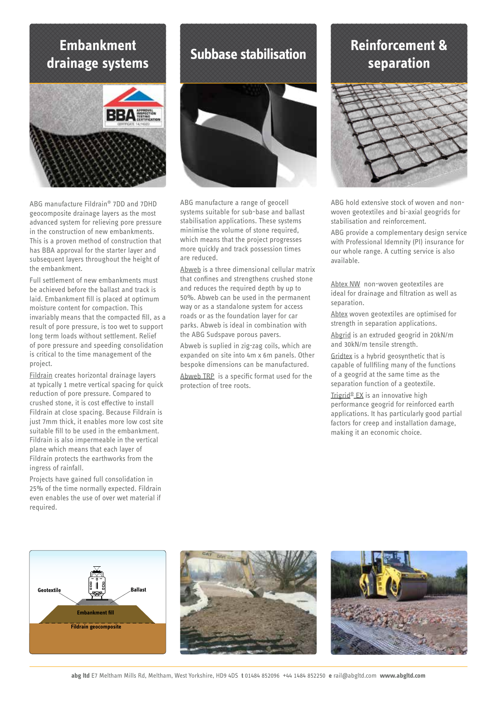### **Embankment drainage systems**



ABG manufacture Fildrain® 7DD and 7DHD geocomposite drainage layers as the most advanced system for relieving pore pressure in the construction of new embankments. This is a proven method of construction that has BBA approval for the starter layer and subsequent layers throughout the height of the embankment.

Full settlement of new embankments must be achieved before the ballast and track is laid. Embankment fill is placed at optimum moisture content for compaction. This invariably means that the compacted fill, as a result of pore pressure, is too wet to support long term loads without settlement. Relief of pore pressure and speeding consolidation is critical to the time management of the project.

Fildrain creates horizontal drainage layers at typically 1 metre vertical spacing for quick reduction of pore pressure. Compared to crushed stone, it is cost effective to install Fildrain at close spacing. Because Fildrain is just 7mm thick, it enables more low cost site suitable fill to be used in the embankment. Fildrain is also impermeable in the vertical plane which means that each layer of Fildrain protects the earthworks from the ingress of rainfall.

Projects have gained full consolidation in 25% of the time normally expected. Fildrain even enables the use of over wet material if required.

**Subbase stabilisation**

ABG manufacture a range of geocell systems suitable for sub-base and ballast stabilisation applications. These systems minimise the volume of stone required, which means that the project progresses more quickly and track possession times are reduced.

Abweb is a three dimensional cellular matrix that confines and strengthens crushed stone and reduces the required depth by up to 50%. Abweb can be used in the permanent way or as a standalone system for access roads or as the foundation layer for car parks. Abweb is ideal in combination with the ABG Sudspave porous pavers.

Abweb is suplied in zig-zag coils, which are expanded on site into 4m x 6m panels. Other bespoke dimensions can be manufactured.

Abweb TRP is a specific format used for the protection of tree roots.

# **Reinforcement & separation**



ABG hold extensive stock of woven and nonwoven geotextiles and bi-axial geogrids for stabilisation and reinforcement.

ABG provide a complementary design service with Professional Idemnity (PI) insurance for our whole range. A cutting service is also available.

Abtex NW non-woven geotextiles are ideal for drainage and filtration as well as separation.

Abtex woven geotextiles are optimised for strength in separation applications.

Abgrid is an extruded geogrid in 20kN/m and 30kN/m tensile strength.

Gridtex is a hybrid geosynthetic that is capable of fullfiling many of the functions of a geogrid at the same time as the separation function of a geotextile.

Trigrid® EX is an innovative high performance geogrid for reinforced earth applications. It has particularly good partial factors for creep and installation damage, making it an economic choice.





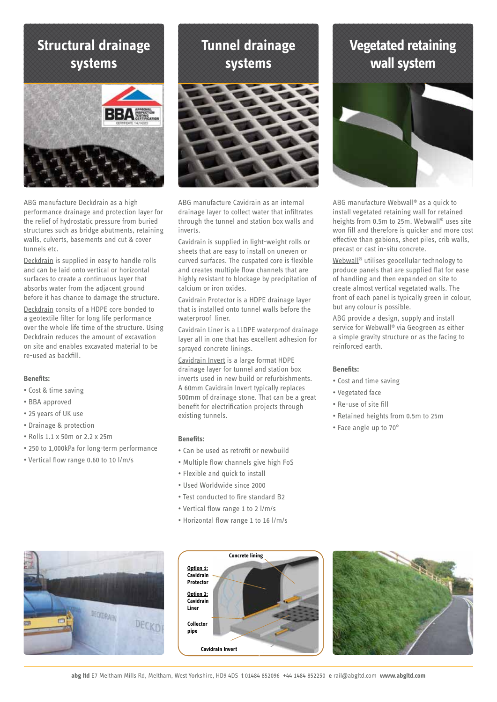### **Structural drainage systems**



ABG manufacture Deckdrain as a high performance drainage and protection layer for the relief of hydrostatic pressure from buried structures such as bridge abutments, retaining walls, culverts, basements and cut & cover tunnels etc.

Deckdrain is supplied in easy to handle rolls and can be laid onto vertical or horizontal surfaces to create a continuous layer that absorbs water from the adjacent ground before it has chance to damage the structure.

Deckdrain consits of a HDPE core bonded to a geotextile filter for long life performance over the whole life time of the structure. Using Deckdrain reduces the amount of excavation on site and enables excavated material to be re-used as backfill.

### **Benefits:**

- Cost & time saving
- BBA approved
- 25 years of UK use
- Drainage & protection
- Rolls 1.1 x 50m or 2.2 x 25m
- 250 to 1,000kPa for long-term performance
- Vertical flow range 0.60 to 10 l/m/s





ABG manufacture Cavidrain as an internal drainage layer to collect water that infiltrates through the tunnel and station box walls and inverts.

Cavidrain is supplied in light-weight rolls or sheets that are easy to install on uneven or curved surfaces. The cuspated core is flexible and creates multiple flow channels that are highly resistant to blockage by precipitation of calcium or iron oxides.

Cavidrain Protector is a HDPE drainage layer that is installed onto tunnel walls before the waterproof liner.

Cavidrain Liner is a LLDPE waterproof drainage layer all in one that has excellent adhesion for sprayed concrete linings.

Cavidrain Invert is a large format HDPE drainage layer for tunnel and station box inverts used in new build or refurbishments. A 60mm Cavidrain Invert typically replaces 500mm of drainage stone. That can be a great benefit for electrification projects through existing tunnels.

### **Benefits:**

- Can be used as retrofit or newbuild
- Multiple flow channels give high FoS
- Flexible and quick to install
- Used Worldwide since 2000
- Test conducted to fire standard B2
- Vertical flow range 1 to 2 l/m/s
- Horizontal flow range 1 to 16 l/m/s

# **Vegetated retaining wall system**



ABG manufacture Webwall® as a quick to install vegetated retaining wall for retained heights from 0.5m to 25m. Webwall® uses site won fill and therefore is quicker and more cost effective than gabions, sheet piles, crib walls, precast or cast in-situ concrete.

Webwall® utilises geocellular technology to produce panels that are supplied flat for ease of handling and then expanded on site to create almost vertical vegetated walls. The front of each panel is typically green in colour, but any colour is possible.

ABG provide a design, supply and install service for Webwall® via Geogreen as either a simple gravity structure or as the facing to reinforced earth.

### **Benefits:**

- Cost and time saving
- Vegetated face
- Re-use of site fill
- Retained heights from 0.5m to 25m
- Face angle up to 70°





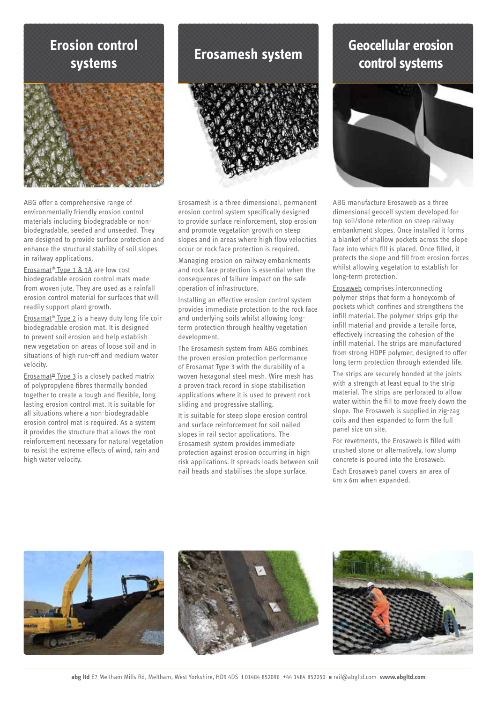### **Erosion control systems**



ABG offer a comprehensive range of environmentally friendly erosion control materials including biodegradable or nonbiodegradable, seeded and unseeded. They are designed to provide surface protection and enhance the structural stability of soil slopes in railway applications.

Erosamat® Type 1 & 1A are low cost biodegradable erosion control mats made from woven jute. They are used as a rainfall erosion control material for surfaces that will readily support plant growth.

Erosamat® Type 2 is a heavy duty long life coir biodegradable erosion mat. It is designed to prevent soil erosion and help establish new vegetation on areas of loose soil and in situations of high run-off and medium water velocity.

Erosamat<sup>®</sup> Type 3 is a closely packed matrix of polypropylene fibres thermally bonded together to create a tough and flexible, long lasting erosion control mat. It is suitable for all situations where a non-biodegradable erosion control mat is required. As a system it provides the structure that allows the root reinforcement necessary for natural vegetation to resist the extreme effects of wind, rain and high water velocity.

### **Erosamesh system**



Erosamesh is a three dimensional, permanent erosion control system specifically designed to provide surface reinforcement, stop erosion and promote vegetation growth on steep slopes and in areas where high flow velocities occur or rock face protection is required.

Managing erosion on railway embankments and rock face protection is essential when the consequences of failure impact on the safe operation of infrastructure.

Installing an effective erosion control system provides immediate protection to the rock face and underlying soils whilst allowing longterm protection through healthy vegetation development.

The Erosamesh system from ABG combines the proven erosion protection performance of Erosamat Type 3 with the durability of a woven hexagonal steel mesh. Wire mesh has a proven track record in slope stabilisation applications where it is used to prevent rock sliding and progressive stalling.

It is suitable for steep slope erosion control and surface reinforcement for soil nailed slopes in rail sector applications. The Erosamesh system provides immediate protection against erosion occurring in high risk applications. It spreads loads between soil nail heads and stabilises the slope surface.

## **Geocellular erosion control systems**



ABG manufacture Erosaweb as a three dimensional geocell system developed for top soil/stone retention on steep railway embankment slopes. Once installed it forms a blanket of shallow pockets across the slope face into which fill is placed. Once filled, it protects the slope and fill from erosion forces whilst allowing vegetation to establish for long-term protection.

Erosaweb comprises interconnecting polymer strips that form a honeycomb of pockets which confines and strengthens the infill material. The polymer strips grip the infill material and provide a tensile force, effectively increasing the cohesion of the infill material. The strips are manufactured from strong HDPE polymer, designed to offer long term protection through extended life.

The strips are securely bonded at the joints with a strength at least equal to the strip material. The strips are perforated to allow water within the fill to move freely down the slope. The Erosaweb is supplied in zig-zag coils and then expanded to form the full panel size on site.

For revetments, the Erosaweb is filled with crushed stone or alternatively, low slump concrete is poured into the Erosaweb.

Each Erosaweb panel covers an area of 4m x 6m when expanded.

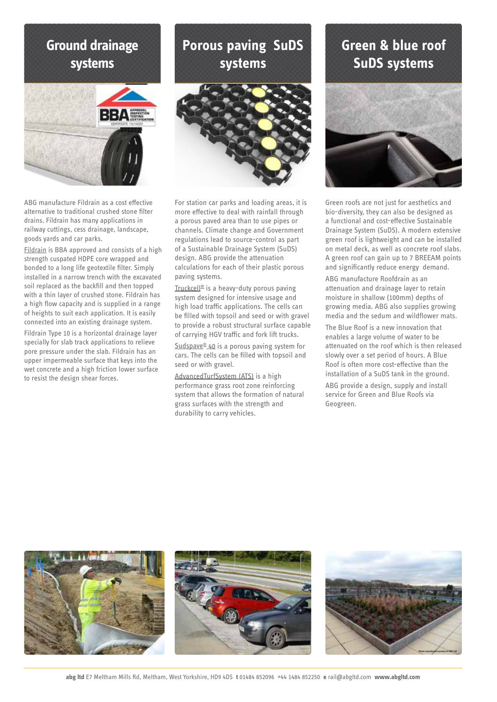### **Ground drainage systems**



ABG manufacture Fildrain as a cost effective alternative to traditional crushed stone filter drains. Fildrain has many applications in railway cuttings, cess drainage, landscape, goods yards and car parks.

Fildrain is BBA approved and consists of a high strength cuspated HDPE core wrapped and bonded to a long life geotextile filter. Simply installed in a narrow trench with the excavated soil replaced as the backfill and then topped with a thin layer of crushed stone. Fildrain has a high flow capacity and is supplied in a range of heights to suit each application. It is easily connected into an existing drainage system.

Fildrain Type 10 is a horizontal drainage layer specially for slab track applications to relieve pore pressure under the slab. Fildrain has an upper impermeable surface that keys into the wet concrete and a high friction lower surface to resist the design shear forces.

# **Porous paving SuDS systems**



For station car parks and loading areas, it is more effective to deal with rainfall through a porous paved area than to use pipes or channels. Climate change and Government regulations lead to source-control as part of a Sustainable Drainage System (SuDS) design. ABG provide the attenuation calculations for each of their plastic porous paving systems.

Truckcell® is a heavy-duty porous paving system designed for intensive usage and high load traffic applications. The cells can be filled with topsoil and seed or with gravel to provide a robust structural surface capable of carrying HGV traffic and fork lift trucks.

Sudspave<sup>®</sup> 40 is a porous paving system for cars. The cells can be filled with topsoil and seed or with gravel.

AdvancedTurfSystem (ATS) is a high performance grass root zone reinforcing system that allows the formation of natural grass surfaces with the strength and durability to carry vehicles.

# **Green & blue roof SuDS systems**



Green roofs are not just for aesthetics and bio-diversity, they can also be designed as a functional and cost-effective Sustainable Drainage System (SuDS). A modern extensive green roof is lightweight and can be installed on metal deck, as well as concrete roof slabs. A green roof can gain up to 7 BREEAM points and significantly reduce energy demand. ABG manufacture Roofdrain as an attenuation and drainage layer to retain moisture in shallow (100mm) depths of growing media. ABG also supplies growing media and the sedum and wildflower mats. The Blue Roof is a new innovation that enables a large volume of water to be attenuated on the roof which is then released slowly over a set period of hours. A Blue Roof is often more cost-effective than the installation of a SuDS tank in the ground.

ABG provide a design, supply and install service for Green and Blue Roofs via Geogreen.